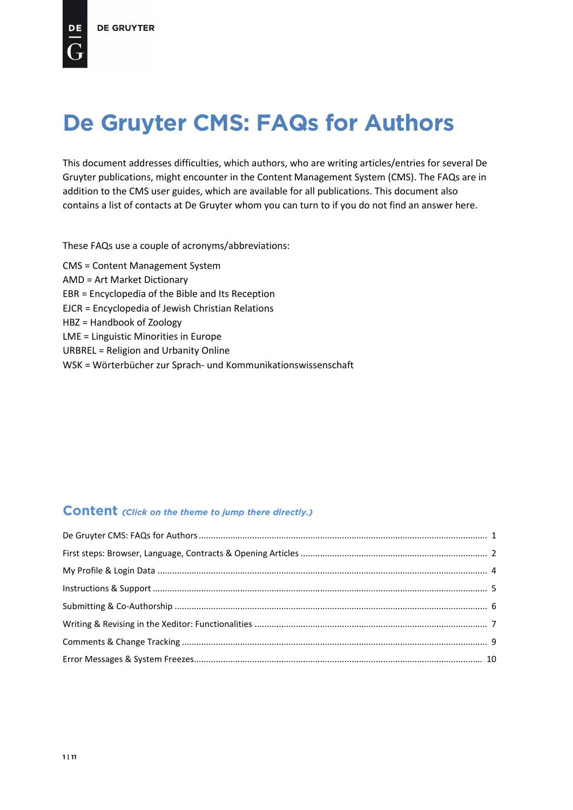<span id="page-0-0"></span>This document addresses difficulties, which authors, who are writing articles/entries for several De Gruyter publications, might encounter in the Content Management System (CMS). The FAQs are in addition to the CMS user guides, which are available for all publications. This document also contains a list of contacts at De Gruyter whom you can turn to if you do not find an answer here.

These FAQs use a couple of acronyms/abbreviations:

CMS = Content Management System AMD = Art Market Dictionary EBR = Encyclopedia of the Bible and Its Reception EJCR = Encyclopedia of Jewish Christian Relations HBZ = Handbook of Zoology LME = Linguistic Minorities in Europe URBREL = Religion and Urbanity Online WSK = Wörterbücher zur Sprach- und Kommunikationswissenschaft

# **Content** *(Click on the theme to jump there directly.)*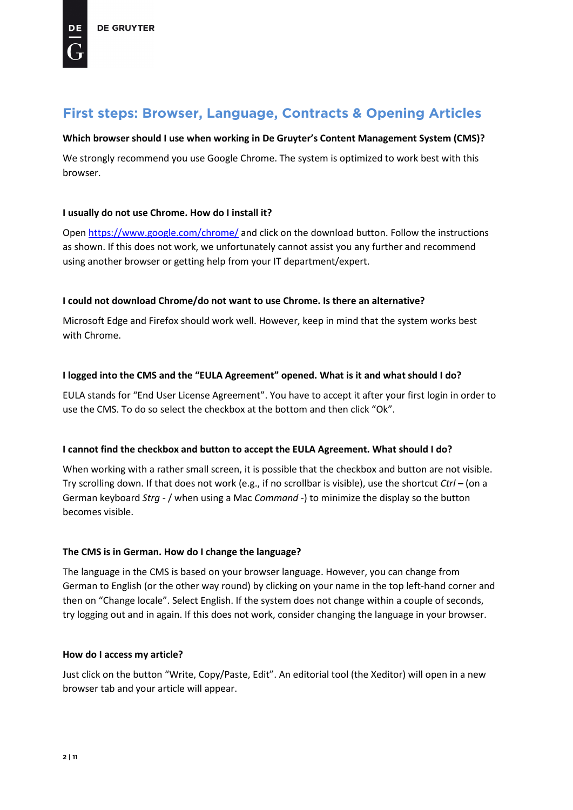## <span id="page-1-0"></span>**Which browser should I use when working in De Gruyter's Content Management System (CMS)?**

We strongly recommend you use Google Chrome. The system is optimized to work best with this browser.

### **I usually do not use Chrome. How do I install it?**

Open<https://www.google.com/chrome/> and click on the download button. Follow the instructions as shown. If this does not work, we unfortunately cannot assist you any further and recommend using another browser or getting help from your IT department/expert.

## **I could not download Chrome/do not want to use Chrome. Is there an alternative?**

Microsoft Edge and Firefox should work well. However, keep in mind that the system works best with Chrome.

## **I logged into the CMS and the "EULA Agreement" opened. What is it and what should I do?**

EULA stands for "End User License Agreement". You have to accept it after your first login in order to use the CMS. To do so select the checkbox at the bottom and then click "Ok".

## **I cannot find the checkbox and button to accept the EULA Agreement. What should I do?**

When working with a rather small screen, it is possible that the checkbox and button are not visible. Try scrolling down. If that does not work (e.g., if no scrollbar is visible), use the shortcut *Ctrl –* (on a German keyboard *Strg -* / when using a Mac *Command -*) to minimize the display so the button becomes visible.

### **The CMS is in German. How do I change the language?**

The language in the CMS is based on your browser language. However, you can change from German to English (or the other way round) by clicking on your name in the top left-hand corner and then on "Change locale". Select English. If the system does not change within a couple of seconds, try logging out and in again. If this does not work, consider changing the language in your browser.

### **How do I access my article?**

Just click on the button "Write, Copy/Paste, Edit". An editorial tool (the Xeditor) will open in a new browser tab and your article will appear.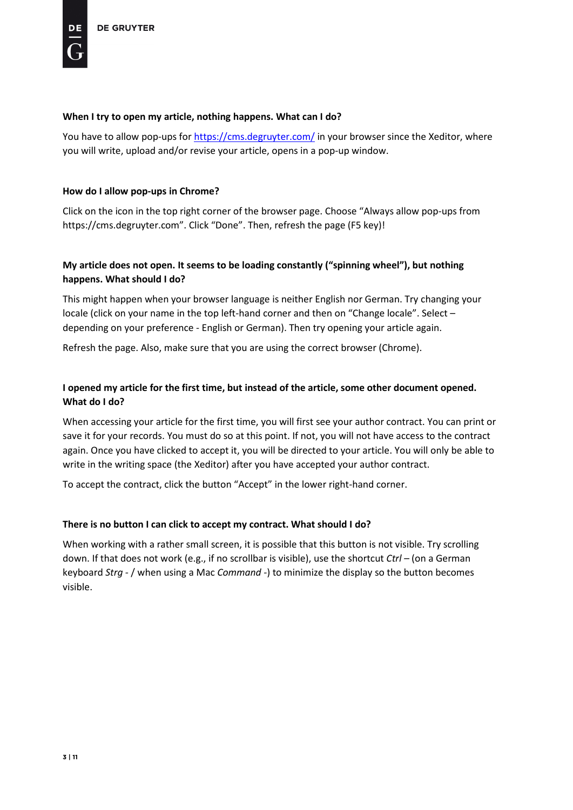### **When I try to open my article, nothing happens. What can I do?**

You have to allow pop-ups for <https://cms.degruyter.com/> in your browser since the Xeditor, where you will write, upload and/or revise your article, opens in a pop-up window.

### **How do I allow pop-ups in Chrome?**

Click on the icon in the top right corner of the browser page. Choose "Always allow pop-ups from https://cms.degruyter.com". Click "Done". Then, refresh the page (F5 key)!

## **My article does not open. It seems to be loading constantly ("spinning wheel"), but nothing happens. What should I do?**

This might happen when your browser language is neither English nor German. Try changing your locale (click on your name in the top left-hand corner and then on "Change locale". Select – depending on your preference - English or German). Then try opening your article again.

Refresh the page. Also, make sure that you are using the correct browser (Chrome).

## **I opened my article for the first time, but instead of the article, some other document opened. What do I do?**

When accessing your article for the first time, you will first see your author contract. You can print or save it for your records. You must do so at this point. If not, you will not have access to the contract again. Once you have clicked to accept it, you will be directed to your article. You will only be able to write in the writing space (the Xeditor) after you have accepted your author contract.

To accept the contract, click the button "Accept" in the lower right-hand corner.

### **There is no button I can click to accept my contract. What should I do?**

When working with a rather small screen, it is possible that this button is not visible. Try scrolling down. If that does not work (e.g., if no scrollbar is visible), use the shortcut *Ctrl –* (on a German keyboard *Strg -* / when using a Mac *Command -*) to minimize the display so the button becomes visible.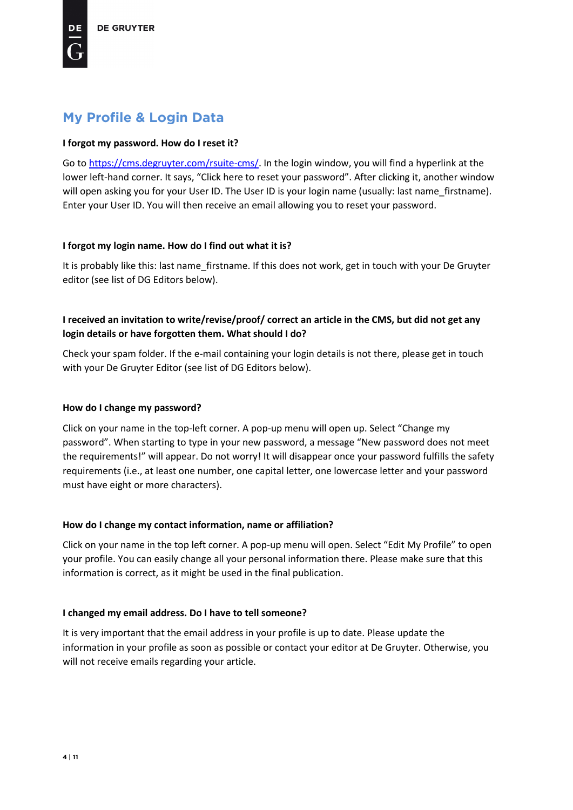# <span id="page-3-0"></span>**My Profile & Login Data**

## **I forgot my password. How do I reset it?**

Go to [https://cms.degruyter.com/rsuite-cms/.](https://cms.degruyter.com/rsuite-cms/) In the login window, you will find a hyperlink at the lower left-hand corner. It says, "Click here to reset your password". After clicking it, another window will open asking you for your User ID. The User ID is your login name (usually: last name firstname). Enter your User ID. You will then receive an email allowing you to reset your password.

## **I forgot my login name. How do I find out what it is?**

It is probably like this: last name firstname. If this does not work, get in touch with your De Gruyter editor (see list of DG Editors below).

# **I received an invitation to write/revise/proof/ correct an article in the CMS, but did not get any login details or have forgotten them. What should I do?**

Check your spam folder. If the e-mail containing your login details is not there, please get in touch with your De Gruyter Editor (see list of DG Editors below).

## **How do I change my password?**

Click on your name in the top-left corner. A pop-up menu will open up. Select "Change my password". When starting to type in your new password, a message "New password does not meet the requirements!" will appear. Do not worry! It will disappear once your password fulfills the safety requirements (i.e., at least one number, one capital letter, one lowercase letter and your password must have eight or more characters).

## **How do I change my contact information, name or affiliation?**

Click on your name in the top left corner. A pop-up menu will open. Select "Edit My Profile" to open your profile. You can easily change all your personal information there. Please make sure that this information is correct, as it might be used in the final publication.

## **I changed my email address. Do I have to tell someone?**

It is very important that the email address in your profile is up to date. Please update the information in your profile as soon as possible or contact your editor at De Gruyter. Otherwise, you will not receive emails regarding your article.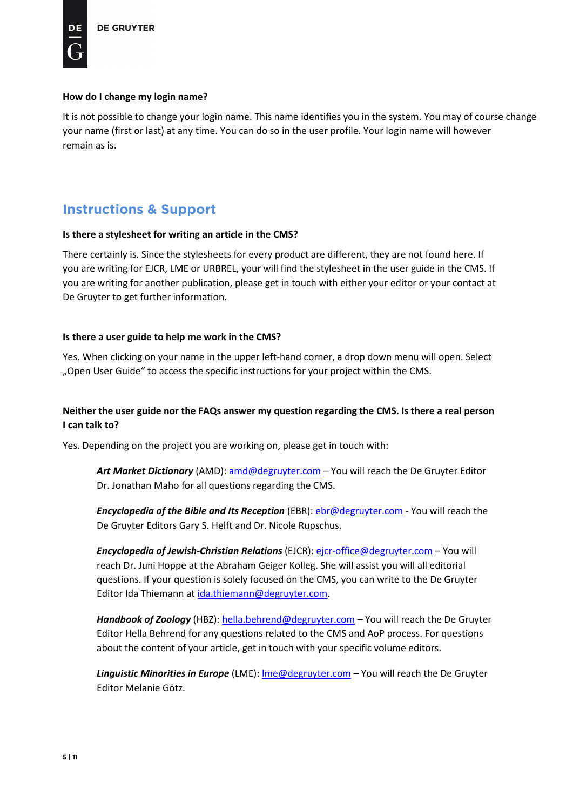### **How do I change my login name?**

It is not possible to change your login name. This name identifies you in the system. You may of course change your name (first or last) at any time. You can do so in the user profile. Your login name will however remain as is.

# <span id="page-4-0"></span>**Instructions & Support**

### **Is there a stylesheet for writing an article in the CMS?**

There certainly is. Since the stylesheets for every product are different, they are not found here. If you are writing for EJCR, LME or URBREL, your will find the stylesheet in the user guide in the CMS. If you are writing for another publication, please get in touch with either your editor or your contact at De Gruyter to get further information.

### **Is there a user guide to help me work in the CMS?**

Yes. When clicking on your name in the upper left-hand corner, a drop down menu will open. Select "Open User Guide" to access the specific instructions for your project within the CMS.

## **Neither the user guide nor the FAQs answer my question regarding the CMS. Is there a real person I can talk to?**

Yes. Depending on the project you are working on, please get in touch with:

*Art Market Dictionary* (AMD): [amd@degruyter.com](mailto:amd@degruyter.com) – You will reach the De Gruyter Editor Dr. Jonathan Maho for all questions regarding the CMS.

*Encyclopedia of the Bible and Its Reception* (EBR): [ebr@degruyter.com](mailto:ebr@degruyter.com) - You will reach the De Gruyter Editors Gary S. Helft and Dr. Nicole Rupschus.

*Encyclopedia of Jewish-Christian Relations* (EJCR)[: ejcr-office@degruyter.com](mailto:ejcr-office@degruyter.com) – You will reach Dr. Juni Hoppe at the Abraham Geiger Kolleg. She will assist you will all editorial questions. If your question is solely focused on the CMS, you can write to the De Gruyter Editor Ida Thiemann at [ida.thiemann@degruyter.com.](mailto:ida.thiemann@degruyter.com)

*Handbook of Zoology* (HBZ): [hella.behrend@degruyter.com](mailto:hella.behrend@degruyter.com) – You will reach the De Gruyter Editor Hella Behrend for any questions related to the CMS and AoP process. For questions about the content of your article, get in touch with your specific volume editors.

*Linguistic Minorities in Europe* (LME): [lme@degruyter.com](mailto:lme@degruyter.com) – You will reach the De Gruyter Editor Melanie Götz.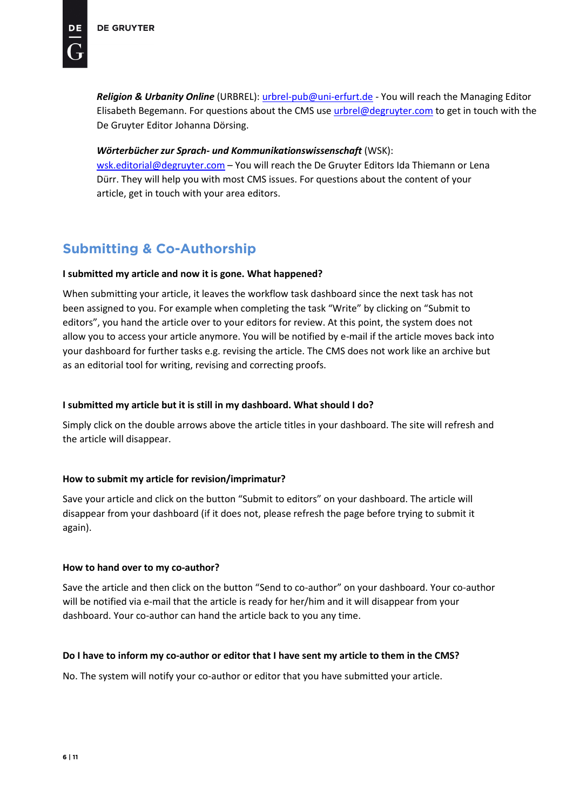*Religion & Urbanity Online* (URBREL): [urbrel-pub@uni-erfurt.de](mailto:urbrel-pub@uni-erfurt.de) - You will reach the Managing Editor Elisabeth Begemann. For questions about the CMS use [urbrel@degruyter.com](mailto:urbrel@degruyter.com) to get in touch with the De Gruyter Editor Johanna Dörsing.

### *Wörterbücher zur Sprach- und Kommunikationswissenschaft* (WSK):

[wsk.editorial@degruyter.com](mailto:wsk.editorial@degruyter.com) – You will reach the De Gruyter Editors Ida Thiemann or Lena Dürr. They will help you with most CMS issues. For questions about the content of your article, get in touch with your area editors.

# <span id="page-5-0"></span>**Submitting & Co-Authorship**

## **I submitted my article and now it is gone. What happened?**

When submitting your article, it leaves the workflow task dashboard since the next task has not been assigned to you. For example when completing the task "Write" by clicking on "Submit to editors", you hand the article over to your editors for review. At this point, the system does not allow you to access your article anymore. You will be notified by e-mail if the article moves back into your dashboard for further tasks e.g. revising the article. The CMS does not work like an archive but as an editorial tool for writing, revising and correcting proofs.

## **I submitted my article but it is still in my dashboard. What should I do?**

Simply click on the double arrows above the article titles in your dashboard. The site will refresh and the article will disappear.

## **How to submit my article for revision/imprimatur?**

Save your article and click on the button "Submit to editors" on your dashboard. The article will disappear from your dashboard (if it does not, please refresh the page before trying to submit it again).

## **How to hand over to my co-author?**

Save the article and then click on the button "Send to co-author" on your dashboard. Your co-author will be notified via e-mail that the article is ready for her/him and it will disappear from your dashboard. Your co-author can hand the article back to you any time.

## **Do I have to inform my co-author or editor that I have sent my article to them in the CMS?**

No. The system will notify your co-author or editor that you have submitted your article.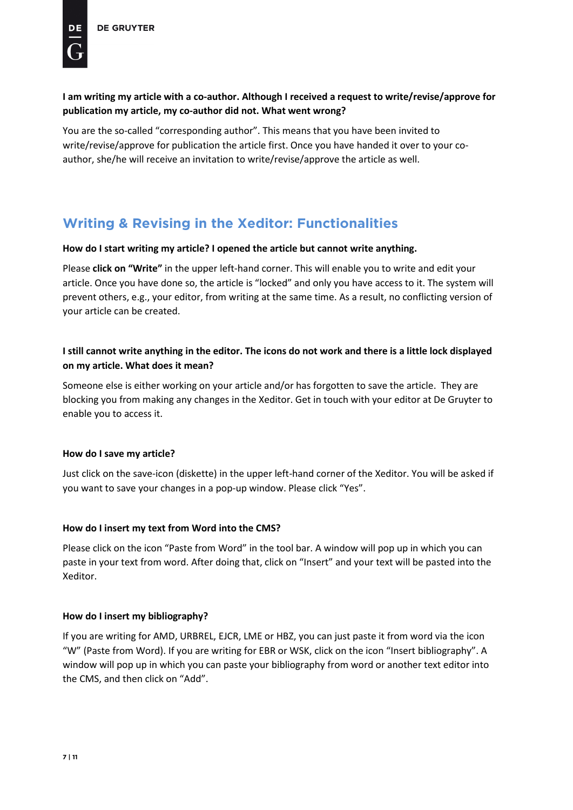# **I am writing my article with a co-author. Although I received a request to write/revise/approve for publication my article, my co-author did not. What went wrong?**

You are the so-called "corresponding author". This means that you have been invited to write/revise/approve for publication the article first. Once you have handed it over to your coauthor, she/he will receive an invitation to write/revise/approve the article as well.

# <span id="page-6-0"></span>**Writing & Revising in the Xeditor: Functionalities**

## **How do I start writing my article? I opened the article but cannot write anything.**

Please **click on "Write"** in the upper left-hand corner. This will enable you to write and edit your article. Once you have done so, the article is "locked" and only you have access to it. The system will prevent others, e.g., your editor, from writing at the same time. As a result, no conflicting version of your article can be created.

# **I still cannot write anything in the editor. The icons do not work and there is a little lock displayed on my article. What does it mean?**

Someone else is either working on your article and/or has forgotten to save the article. They are blocking you from making any changes in the Xeditor. Get in touch with your editor at De Gruyter to enable you to access it.

## **How do I save my article?**

Just click on the save-icon (diskette) in the upper left-hand corner of the Xeditor. You will be asked if you want to save your changes in a pop-up window. Please click "Yes".

## **How do I insert my text from Word into the CMS?**

Please click on the icon "Paste from Word" in the tool bar. A window will pop up in which you can paste in your text from word. After doing that, click on "Insert" and your text will be pasted into the Xeditor.

## **How do I insert my bibliography?**

If you are writing for AMD, URBREL, EJCR, LME or HBZ, you can just paste it from word via the icon "W" (Paste from Word). If you are writing for EBR or WSK, click on the icon "Insert bibliography". A window will pop up in which you can paste your bibliography from word or another text editor into the CMS, and then click on "Add".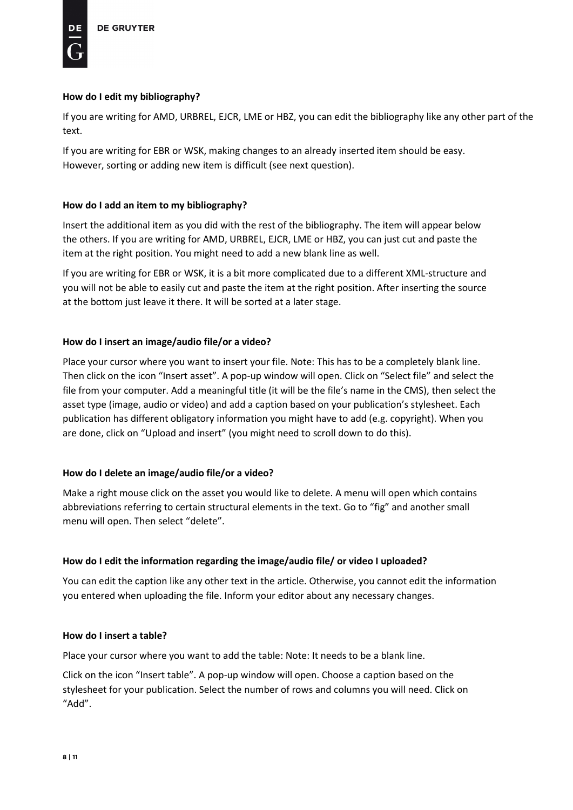## **How do I edit my bibliography?**

If you are writing for AMD, URBREL, EJCR, LME or HBZ, you can edit the bibliography like any other part of the text.

If you are writing for EBR or WSK, making changes to an already inserted item should be easy. However, sorting or adding new item is difficult (see next question).

## **How do I add an item to my bibliography?**

Insert the additional item as you did with the rest of the bibliography. The item will appear below the others. If you are writing for AMD, URBREL, EJCR, LME or HBZ, you can just cut and paste the item at the right position. You might need to add a new blank line as well.

If you are writing for EBR or WSK, it is a bit more complicated due to a different XML-structure and you will not be able to easily cut and paste the item at the right position. After inserting the source at the bottom just leave it there. It will be sorted at a later stage.

## **How do I insert an image/audio file/or a video?**

Place your cursor where you want to insert your file. Note: This has to be a completely blank line. Then click on the icon "Insert asset". A pop-up window will open. Click on "Select file" and select the file from your computer. Add a meaningful title (it will be the file's name in the CMS), then select the asset type (image, audio or video) and add a caption based on your publication's stylesheet. Each publication has different obligatory information you might have to add (e.g. copyright). When you are done, click on "Upload and insert" (you might need to scroll down to do this).

## **How do I delete an image/audio file/or a video?**

Make a right mouse click on the asset you would like to delete. A menu will open which contains abbreviations referring to certain structural elements in the text. Go to "fig" and another small menu will open. Then select "delete".

## **How do I edit the information regarding the image/audio file/ or video I uploaded?**

You can edit the caption like any other text in the article. Otherwise, you cannot edit the information you entered when uploading the file. Inform your editor about any necessary changes.

## **How do I insert a table?**

Place your cursor where you want to add the table: Note: It needs to be a blank line.

Click on the icon "Insert table". A pop-up window will open. Choose a caption based on the stylesheet for your publication. Select the number of rows and columns you will need. Click on "Add".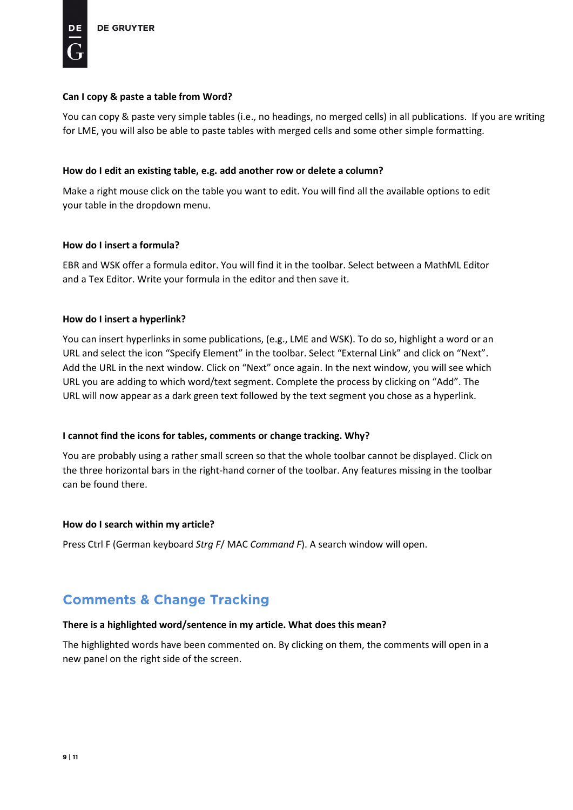### **Can I copy & paste a table from Word?**

You can copy & paste very simple tables (i.e., no headings, no merged cells) in all publications. If you are writing for LME, you will also be able to paste tables with merged cells and some other simple formatting.

### **How do I edit an existing table, e.g. add another row or delete a column?**

Make a right mouse click on the table you want to edit. You will find all the available options to edit your table in the dropdown menu.

### **How do I insert a formula?**

EBR and WSK offer a formula editor. You will find it in the toolbar. Select between a MathML Editor and a Tex Editor. Write your formula in the editor and then save it.

### **How do I insert a hyperlink?**

You can insert hyperlinks in some publications, (e.g., LME and WSK). To do so, highlight a word or an URL and select the icon "Specify Element" in the toolbar. Select "External Link" and click on "Next". Add the URL in the next window. Click on "Next" once again. In the next window, you will see which URL you are adding to which word/text segment. Complete the process by clicking on "Add". The URL will now appear as a dark green text followed by the text segment you chose as a hyperlink.

### **I cannot find the icons for tables, comments or change tracking. Why?**

You are probably using a rather small screen so that the whole toolbar cannot be displayed. Click on the three horizontal bars in the right-hand corner of the toolbar. Any features missing in the toolbar can be found there.

### **How do I search within my article?**

Press Ctrl F (German keyboard *Strg F*/ MAC *Command F*). A search window will open.

# <span id="page-8-0"></span>**Comments & Change Tracking**

### **There is a highlighted word/sentence in my article. What does this mean?**

The highlighted words have been commented on. By clicking on them, the comments will open in a new panel on the right side of the screen.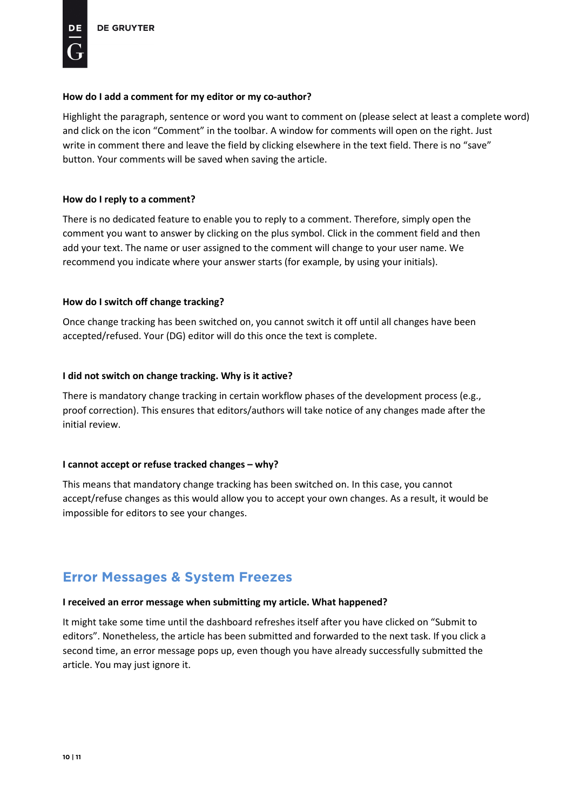Highlight the paragraph, sentence or word you want to comment on (please select at least a complete word) and click on the icon "Comment" in the toolbar. A window for comments will open on the right. Just write in comment there and leave the field by clicking elsewhere in the text field. There is no "save" button. Your comments will be saved when saving the article.

### **How do I reply to a comment?**

There is no dedicated feature to enable you to reply to a comment. Therefore, simply open the comment you want to answer by clicking on the plus symbol. Click in the comment field and then add your text. The name or user assigned to the comment will change to your user name. We recommend you indicate where your answer starts (for example, by using your initials).

### **How do I switch off change tracking?**

Once change tracking has been switched on, you cannot switch it off until all changes have been accepted/refused. Your (DG) editor will do this once the text is complete.

### **I did not switch on change tracking. Why is it active?**

There is mandatory change tracking in certain workflow phases of the development process (e.g., proof correction). This ensures that editors/authors will take notice of any changes made after the initial review.

## **I cannot accept or refuse tracked changes – why?**

This means that mandatory change tracking has been switched on. In this case, you cannot accept/refuse changes as this would allow you to accept your own changes. As a result, it would be impossible for editors to see your changes.

# <span id="page-9-0"></span>**Error Messages & System Freezes**

## **I received an error message when submitting my article. What happened?**

It might take some time until the dashboard refreshes itself after you have clicked on "Submit to editors". Nonetheless, the article has been submitted and forwarded to the next task. If you click a second time, an error message pops up, even though you have already successfully submitted the article. You may just ignore it.